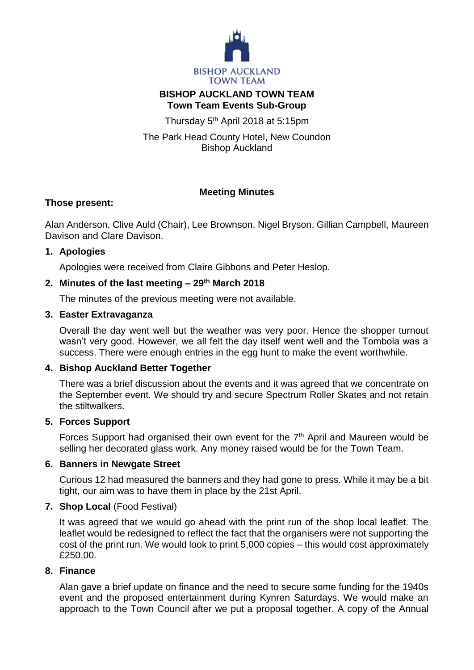

### **BISHOP AUCKLAND TOWN TEAM Town Team Events Sub-Group**

Thursday 5<sup>th</sup> April 2018 at 5:15pm

The Park Head County Hotel, New Coundon Bishop Auckland

# **Meeting Minutes**

## **Those present:**

Alan Anderson, Clive Auld (Chair), Lee Brownson, Nigel Bryson, Gillian Campbell, Maureen Davison and Clare Davison.

## **1. Apologies**

Apologies were received from Claire Gibbons and Peter Heslop.

# **2. Minutes of the last meeting – 29th March 2018**

The minutes of the previous meeting were not available.

# **3. Easter Extravaganza**

Overall the day went well but the weather was very poor. Hence the shopper turnout wasn't very good. However, we all felt the day itself went well and the Tombola was a success. There were enough entries in the egg hunt to make the event worthwhile.

## **4. Bishop Auckland Better Together**

There was a brief discussion about the events and it was agreed that we concentrate on the September event. We should try and secure Spectrum Roller Skates and not retain the stiltwalkers.

## **5. Forces Support**

Forces Support had organised their own event for the 7<sup>th</sup> April and Maureen would be selling her decorated glass work. Any money raised would be for the Town Team.

## **6. Banners in Newgate Street**

Curious 12 had measured the banners and they had gone to press. While it may be a bit tight, our aim was to have them in place by the 21st April.

## **7. Shop Local** (Food Festival)

It was agreed that we would go ahead with the print run of the shop local leaflet. The leaflet would be redesigned to reflect the fact that the organisers were not supporting the cost of the print run. We would look to print 5,000 copies – this would cost approximately £250.00.

## **8. Finance**

Alan gave a brief update on finance and the need to secure some funding for the 1940s event and the proposed entertainment during Kynren Saturdays. We would make an approach to the Town Council after we put a proposal together. A copy of the Annual